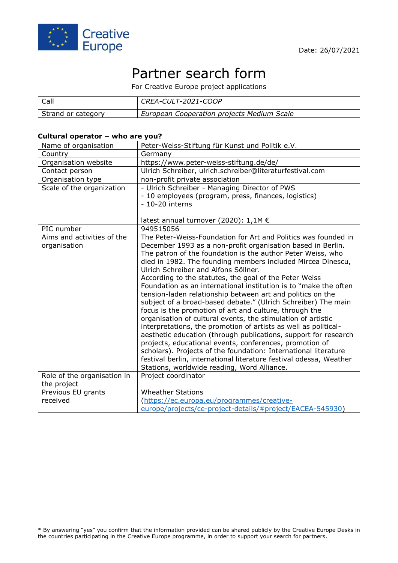

# Partner search form

For Creative Europe project applications

| Call               | CREA-CULT-2021-COOP                        |
|--------------------|--------------------------------------------|
| Strand or category | European Cooperation projects Medium Scale |

## **Cultural operator – who are you?**

| Name of organisation        | Peter-Weiss-Stiftung für Kunst und Politik e.V.                                                                        |
|-----------------------------|------------------------------------------------------------------------------------------------------------------------|
| Country                     | Germany                                                                                                                |
| Organisation website        | https://www.peter-weiss-stiftung.de/de/                                                                                |
| Contact person              | Ulrich Schreiber, ulrich.schreiber@literaturfestival.com                                                               |
| Organisation type           | non-profit private association                                                                                         |
| Scale of the organization   | - Ulrich Schreiber - Managing Director of PWS                                                                          |
|                             | - 10 employees (program, press, finances, logistics)                                                                   |
|                             | $-10-20$ interns                                                                                                       |
|                             |                                                                                                                        |
|                             | latest annual turnover (2020): 1,1M €                                                                                  |
| PIC number                  | 949515056                                                                                                              |
| Aims and activities of the  | The Peter-Weiss-Foundation for Art and Politics was founded in                                                         |
| organisation                | December 1993 as a non-profit organisation based in Berlin.                                                            |
|                             | The patron of the foundation is the author Peter Weiss, who                                                            |
|                             | died in 1982. The founding members included Mircea Dinescu,                                                            |
|                             | Ulrich Schreiber and Alfons Söllner.                                                                                   |
|                             | According to the statutes, the goal of the Peter Weiss                                                                 |
|                             | Foundation as an international institution is to "make the often                                                       |
|                             | tension-laden relationship between art and politics on the                                                             |
|                             | subject of a broad-based debate." (Ulrich Schreiber) The main                                                          |
|                             | focus is the promotion of art and culture, through the<br>organisation of cultural events, the stimulation of artistic |
|                             | interpretations, the promotion of artists as well as political-                                                        |
|                             | aesthetic education (through publications, support for research                                                        |
|                             | projects, educational events, conferences, promotion of                                                                |
|                             | scholars). Projects of the foundation: International literature                                                        |
|                             | festival berlin, international literature festival odessa, Weather                                                     |
|                             | Stations, worldwide reading, Word Alliance.                                                                            |
| Role of the organisation in | Project coordinator                                                                                                    |
| the project                 |                                                                                                                        |
| Previous EU grants          | <b>Wheather Stations</b>                                                                                               |
| received                    | (https://ec.europa.eu/programmes/creative-                                                                             |
|                             | europe/projects/ce-project-details/#project/EACEA-545930)                                                              |